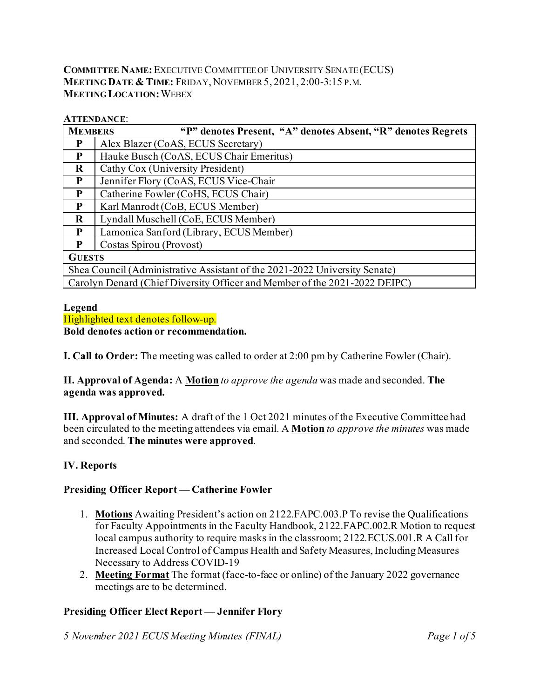### **COMMITTEE NAME:**EXECUTIVE COMMITTEE OF UNIVERSITY SENATE (ECUS) **MEETING DATE & TIME:** FRIDAY, NOVEMBER5, 2021, 2:00-3:15 P.M. **MEETING LOCATION:**WEBEX

#### **ATTENDANCE**:

| <b>MEMBERS</b>                                                             | "P" denotes Present, "A" denotes Absent, "R" denotes Regrets |  |  |  |  |  |  |
|----------------------------------------------------------------------------|--------------------------------------------------------------|--|--|--|--|--|--|
| P                                                                          | Alex Blazer (CoAS, ECUS Secretary)                           |  |  |  |  |  |  |
| P                                                                          | Hauke Busch (CoAS, ECUS Chair Emeritus)                      |  |  |  |  |  |  |
| $\bf{R}$                                                                   | Cathy Cox (University President)                             |  |  |  |  |  |  |
| P                                                                          | Jennifer Flory (CoAS, ECUS Vice-Chair                        |  |  |  |  |  |  |
| P                                                                          | Catherine Fowler (CoHS, ECUS Chair)                          |  |  |  |  |  |  |
| P                                                                          | Karl Manrodt (CoB, ECUS Member)                              |  |  |  |  |  |  |
| $\bf R$                                                                    | Lyndall Muschell (CoE, ECUS Member)                          |  |  |  |  |  |  |
| P                                                                          | Lamonica Sanford (Library, ECUS Member)                      |  |  |  |  |  |  |
| P                                                                          | Costas Spirou (Provost)                                      |  |  |  |  |  |  |
| <b>GUESTS</b>                                                              |                                                              |  |  |  |  |  |  |
| Shea Council (Administrative Assistant of the 2021-2022 University Senate) |                                                              |  |  |  |  |  |  |
| Carolyn Denard (Chief Diversity Officer and Member of the 2021-2022 DEIPC) |                                                              |  |  |  |  |  |  |

#### **Legend**

Highlighted text denotes follow-up. **Bold denotes action or recommendation.**

**I. Call to Order:** The meeting was called to order at 2:00 pm by Catherine Fowler (Chair).

#### **II. Approval of Agenda:** A **Motion** *to approve the agenda* was made and seconded. **The agenda was approved.**

**III. Approval of Minutes:** A draft of the 1 Oct 2021 minutes of the Executive Committee had been circulated to the meeting attendees via email. A **Motion** *to approve the minutes* was made and seconded. **The minutes were approved**.

# **IV. Reports**

#### **Presiding Officer Report — Catherine Fowler**

- 1. **Motions** Awaiting President's action on 2122.FAPC.003.P To revise the Qualifications for Faculty Appointments in the Faculty Handbook, 2122.FAPC.002.R Motion to request local campus authority to require masks in the classroom; 2122.ECUS.001.R A Call for Increased Local Control of Campus Health and Safety Measures, Including Measures Necessary to Address COVID-19
- 2. **Meeting Format** The format (face-to-face or online) of the January 2022 governance meetings are to be determined.

# **Presiding Officer Elect Report — Jennifer Flory**

*5 November 2021 ECUS Meeting Minutes (FINAL) Page 1 of 5*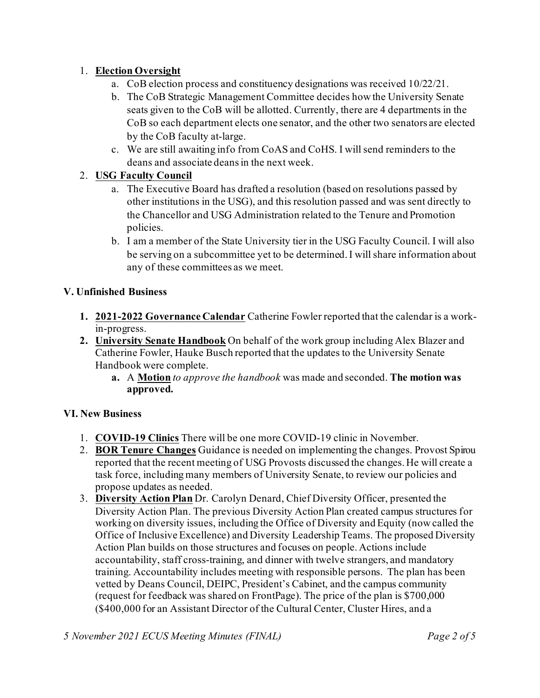# 1. **Election Oversight**

- a. CoB election process and constituency designations was received 10/22/21.
- b. The CoB Strategic Management Committee decides how the University Senate seats given to the CoB will be allotted. Currently, there are 4 departments in the CoB so each department elects one senator, and the other two senators are elected by the CoB faculty at-large.
- c. We are still awaiting info from CoAS and CoHS. I will send reminders to the deans and associate deans in the next week.

# 2. **USG Faculty Council**

- a. The Executive Board has drafted a resolution (based on resolutions passed by other institutions in the USG), and this resolution passed and was sent directly to the Chancellor and USG Administration related to the Tenure and Promotion policies.
- b. I am a member of the State University tier in the USG Faculty Council. I will also be serving on a subcommittee yet to be determined. I will share information about any of these committees as we meet.

# **V. Unfinished Business**

- **1. 2021-2022 Governance Calendar** Catherine Fowler reported that the calendar is a workin-progress.
- **2. University Senate Handbook** On behalf of the work group including Alex Blazer and Catherine Fowler, Hauke Busch reported that the updates to the University Senate Handbook were complete.
	- **a.** A **Motion** *to approve the handbook* was made and seconded. **The motion was approved.**

# **VI. New Business**

- 1. **COVID-19 Clinics** There will be one more COVID-19 clinic in November.
- 2. **BOR Tenure Changes** Guidance is needed on implementing the changes. Provost Spirou reported that the recent meeting of USG Provosts discussed the changes. He will create a task force, including many members of University Senate, to review our policies and propose updates as needed.
- 3. **Diversity Action Plan** Dr. Carolyn Denard, Chief Diversity Officer, presented the Diversity Action Plan. The previous Diversity Action Plan created campus structures for working on diversity issues, including the Office of Diversity and Equity (now called the Office of Inclusive Excellence) and Diversity Leadership Teams. The proposed Diversity Action Plan builds on those structures and focuses on people. Actions include accountability, staff cross-training, and dinner with twelve strangers, and mandatory training. Accountability includes meeting with responsible persons. The plan has been vetted by Deans Council, DEIPC, President's Cabinet, and the campus community (request for feedback was shared on FrontPage). The price of the plan is \$700,000 (\$400,000 for an Assistant Director of the Cultural Center, Cluster Hires, and a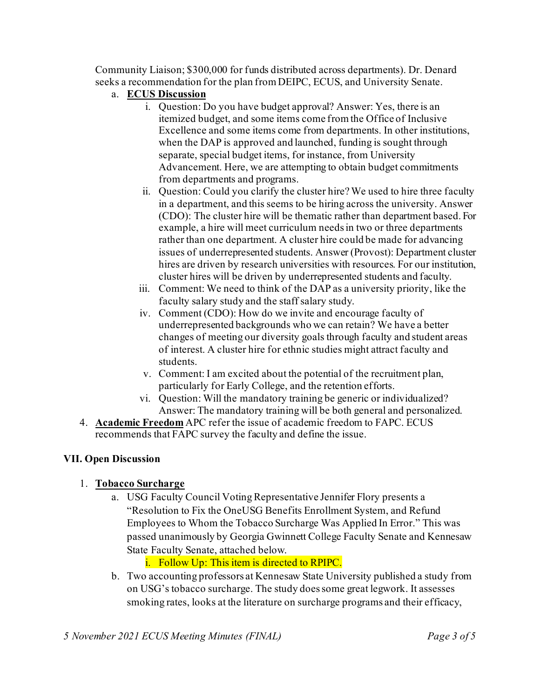Community Liaison; \$300,000 for funds distributed across departments). Dr. Denard seeks a recommendation for the plan from DEIPC, ECUS, and University Senate.

- a. **ECUS Discussion**
	- i. Question: Do you have budget approval? Answer: Yes, there is an itemized budget, and some items come from the Office of Inclusive Excellence and some items come from departments. In other institutions, when the DAP is approved and launched, funding is sought through separate, special budget items, for instance, from University Advancement. Here, we are attempting to obtain budget commitments from departments and programs.
	- ii. Question: Could you clarify the cluster hire? We used to hire three faculty in a department, and this seems to be hiring across the university. Answer (CDO): The cluster hire will be thematic rather than department based. For example, a hire will meet curriculum needs in two or three departments rather than one department. A cluster hire could be made for advancing issues of underrepresented students. Answer (Provost): Department cluster hires are driven by research universities with resources. For our institution, cluster hires will be driven by underrepresented students and faculty.
	- iii. Comment: We need to think of the DAP as a university priority, like the faculty salary study and the staff salary study.
	- iv. Comment (CDO): How do we invite and encourage faculty of underrepresented backgrounds who we can retain? We have a better changes of meeting our diversity goals through faculty and student areas of interest. A cluster hire for ethnic studies might attract faculty and students.
	- v. Comment: I am excited about the potential of the recruitment plan, particularly for Early College, and the retention efforts.
	- vi. Question: Will the mandatory training be generic or individualized? Answer: The mandatory training will be both general and personalized.
- 4. **Academic Freedom** APC refer the issue of academic freedom to FAPC. ECUS recommends that FAPC survey the faculty and define the issue.

#### **VII. Open Discussion**

# 1. **Tobacco Surcharge**

a. USG Faculty Council Voting Representative Jennifer Flory presents a "Resolution to Fix the OneUSG Benefits Enrollment System, and Refund Employees to Whom the Tobacco Surcharge Was Applied In Error." This was passed unanimously by Georgia Gwinnett College Faculty Senate and Kennesaw State Faculty Senate, attached below.

# i. Follow Up: This item is directed to RPIPC.

b. Two accounting professors at Kennesaw State University published a study from on USG's tobacco surcharge. The study does some great legwork. It assesses smoking rates, looks at the literature on surcharge programs and their efficacy,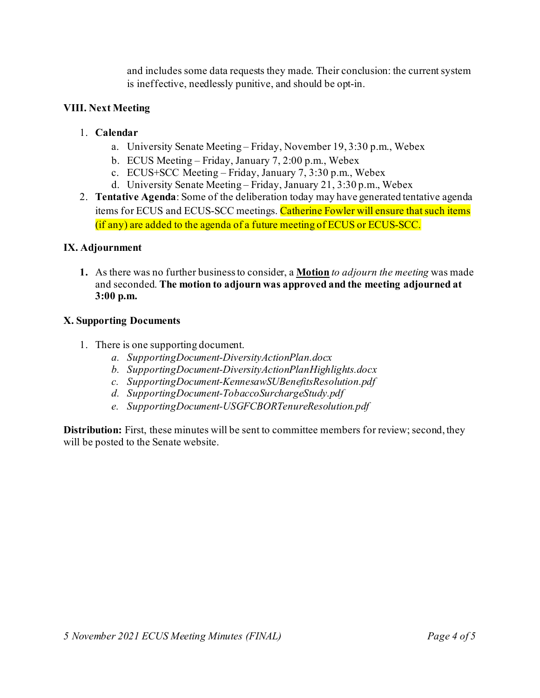and includes some data requests they made. Their conclusion: the current system is ineffective, needlessly punitive, and should be opt-in.

### **VIII. Next Meeting**

### 1. **Calendar**

- a. University Senate Meeting Friday, November 19, 3:30 p.m., Webex
- b. ECUS Meeting Friday, January 7, 2:00 p.m., Webex
- c. ECUS+SCC Meeting Friday, January 7, 3:30 p.m., Webex
- d. University Senate Meeting Friday, January 21, 3:30 p.m., Webex
- 2. **Tentative Agenda**: Some of the deliberation today may have generated tentative agenda items for ECUS and ECUS-SCC meetings. Catherine Fowler will ensure that such items (if any) are added to the agenda of a future meeting of ECUS or ECUS-SCC.

### **IX. Adjournment**

**1.** As there was no further business to consider, a **Motion** *to adjourn the meeting* was made and seconded. **The motion to adjourn was approved and the meeting adjourned at 3:00 p.m.**

#### **X. Supporting Documents**

- 1. There is one supporting document.
	- *a. SupportingDocument-DiversityActionPlan.docx*
	- *b. SupportingDocument-DiversityActionPlanHighlights.docx*
	- *c. SupportingDocument-KennesawSUBenefitsResolution.pdf*
	- *d. SupportingDocument-TobaccoSurchargeStudy.pdf*
	- *e. SupportingDocument-USGFCBORTenureResolution.pdf*

**Distribution:** First, these minutes will be sent to committee members for review; second, they will be posted to the Senate website.